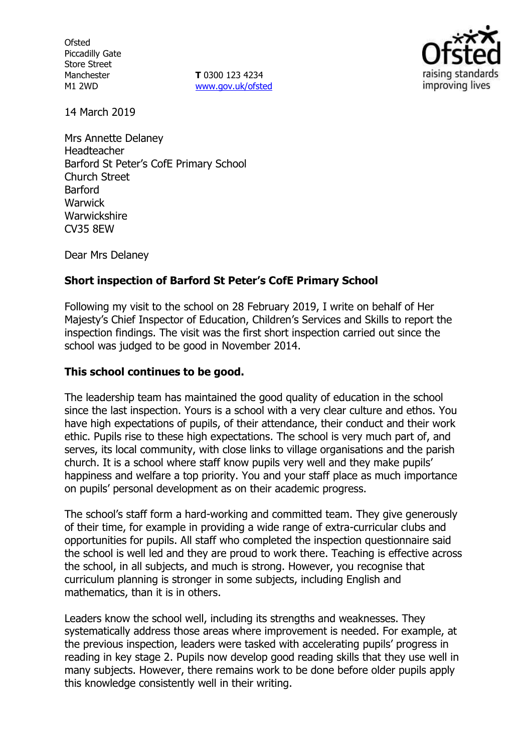**Ofsted** Piccadilly Gate Store Street Manchester M1 2WD

**T** 0300 123 4234 www.gov.uk/ofsted



14 March 2019

Mrs Annette Delaney Headteacher Barford St Peter's CofE Primary School Church Street Barford **Warwick** Warwickshire CV35 8EW

Dear Mrs Delaney

### **Short inspection of Barford St Peter's CofE Primary School**

Following my visit to the school on 28 February 2019, I write on behalf of Her Majesty's Chief Inspector of Education, Children's Services and Skills to report the inspection findings. The visit was the first short inspection carried out since the school was judged to be good in November 2014.

#### **This school continues to be good.**

The leadership team has maintained the good quality of education in the school since the last inspection. Yours is a school with a very clear culture and ethos. You have high expectations of pupils, of their attendance, their conduct and their work ethic. Pupils rise to these high expectations. The school is very much part of, and serves, its local community, with close links to village organisations and the parish church. It is a school where staff know pupils very well and they make pupils' happiness and welfare a top priority. You and your staff place as much importance on pupils' personal development as on their academic progress.

The school's staff form a hard-working and committed team. They give generously of their time, for example in providing a wide range of extra-curricular clubs and opportunities for pupils. All staff who completed the inspection questionnaire said the school is well led and they are proud to work there. Teaching is effective across the school, in all subjects, and much is strong. However, you recognise that curriculum planning is stronger in some subjects, including English and mathematics, than it is in others.

Leaders know the school well, including its strengths and weaknesses. They systematically address those areas where improvement is needed. For example, at the previous inspection, leaders were tasked with accelerating pupils' progress in reading in key stage 2. Pupils now develop good reading skills that they use well in many subjects. However, there remains work to be done before older pupils apply this knowledge consistently well in their writing.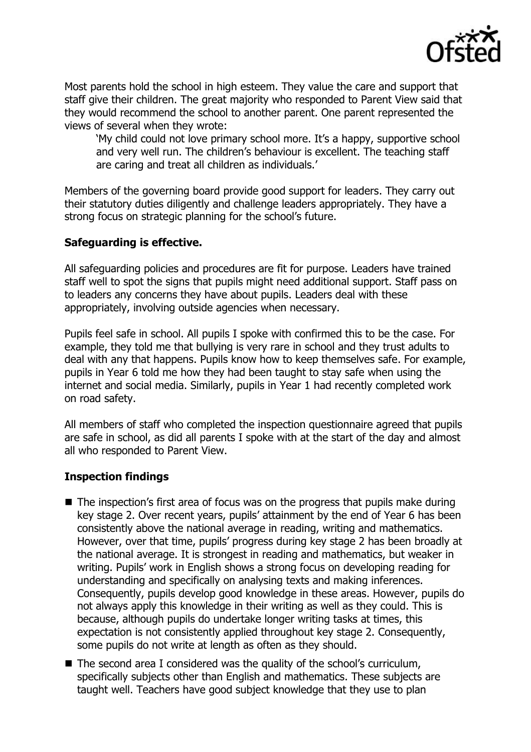

Most parents hold the school in high esteem. They value the care and support that staff give their children. The great majority who responded to Parent View said that they would recommend the school to another parent. One parent represented the views of several when they wrote:

'My child could not love primary school more. It's a happy, supportive school and very well run. The children's behaviour is excellent. The teaching staff are caring and treat all children as individuals.'

Members of the governing board provide good support for leaders. They carry out their statutory duties diligently and challenge leaders appropriately. They have a strong focus on strategic planning for the school's future.

### **Safeguarding is effective.**

All safeguarding policies and procedures are fit for purpose. Leaders have trained staff well to spot the signs that pupils might need additional support. Staff pass on to leaders any concerns they have about pupils. Leaders deal with these appropriately, involving outside agencies when necessary.

Pupils feel safe in school. All pupils I spoke with confirmed this to be the case. For example, they told me that bullying is very rare in school and they trust adults to deal with any that happens. Pupils know how to keep themselves safe. For example, pupils in Year 6 told me how they had been taught to stay safe when using the internet and social media. Similarly, pupils in Year 1 had recently completed work on road safety.

All members of staff who completed the inspection questionnaire agreed that pupils are safe in school, as did all parents I spoke with at the start of the day and almost all who responded to Parent View.

# **Inspection findings**

- $\blacksquare$  The inspection's first area of focus was on the progress that pupils make during key stage 2. Over recent years, pupils' attainment by the end of Year 6 has been consistently above the national average in reading, writing and mathematics. However, over that time, pupils' progress during key stage 2 has been broadly at the national average. It is strongest in reading and mathematics, but weaker in writing. Pupils' work in English shows a strong focus on developing reading for understanding and specifically on analysing texts and making inferences. Consequently, pupils develop good knowledge in these areas. However, pupils do not always apply this knowledge in their writing as well as they could. This is because, although pupils do undertake longer writing tasks at times, this expectation is not consistently applied throughout key stage 2. Consequently, some pupils do not write at length as often as they should.
- $\blacksquare$  The second area I considered was the quality of the school's curriculum, specifically subjects other than English and mathematics. These subjects are taught well. Teachers have good subject knowledge that they use to plan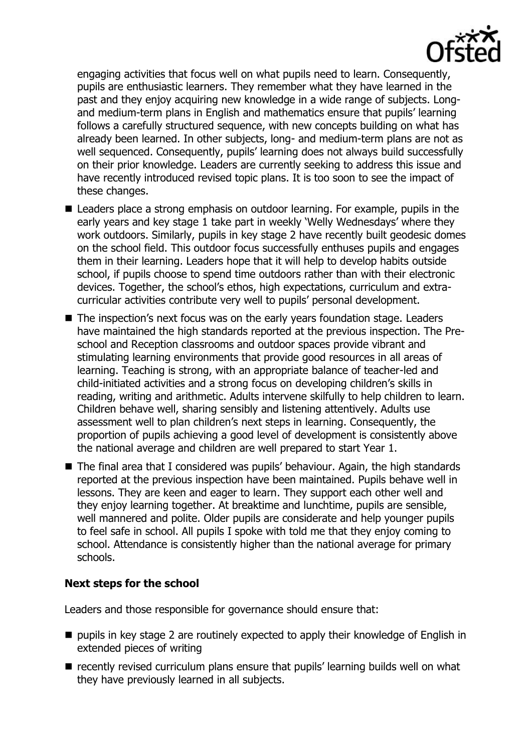

engaging activities that focus well on what pupils need to learn. Consequently, pupils are enthusiastic learners. They remember what they have learned in the past and they enjoy acquiring new knowledge in a wide range of subjects. Longand medium-term plans in English and mathematics ensure that pupils' learning follows a carefully structured sequence, with new concepts building on what has already been learned. In other subjects, long- and medium-term plans are not as well sequenced. Consequently, pupils' learning does not always build successfully on their prior knowledge. Leaders are currently seeking to address this issue and have recently introduced revised topic plans. It is too soon to see the impact of these changes.

- Leaders place a strong emphasis on outdoor learning. For example, pupils in the early years and key stage 1 take part in weekly 'Welly Wednesdays' where they work outdoors. Similarly, pupils in key stage 2 have recently built geodesic domes on the school field. This outdoor focus successfully enthuses pupils and engages them in their learning. Leaders hope that it will help to develop habits outside school, if pupils choose to spend time outdoors rather than with their electronic devices. Together, the school's ethos, high expectations, curriculum and extracurricular activities contribute very well to pupils' personal development.
- The inspection's next focus was on the early years foundation stage. Leaders have maintained the high standards reported at the previous inspection. The Preschool and Reception classrooms and outdoor spaces provide vibrant and stimulating learning environments that provide good resources in all areas of learning. Teaching is strong, with an appropriate balance of teacher-led and child-initiated activities and a strong focus on developing children's skills in reading, writing and arithmetic. Adults intervene skilfully to help children to learn. Children behave well, sharing sensibly and listening attentively. Adults use assessment well to plan children's next steps in learning. Consequently, the proportion of pupils achieving a good level of development is consistently above the national average and children are well prepared to start Year 1.
- The final area that I considered was pupils' behaviour. Again, the high standards reported at the previous inspection have been maintained. Pupils behave well in lessons. They are keen and eager to learn. They support each other well and they enjoy learning together. At breaktime and lunchtime, pupils are sensible, well mannered and polite. Older pupils are considerate and help younger pupils to feel safe in school. All pupils I spoke with told me that they enjoy coming to school. Attendance is consistently higher than the national average for primary schools.

### **Next steps for the school**

Leaders and those responsible for governance should ensure that:

- $\blacksquare$  pupils in key stage 2 are routinely expected to apply their knowledge of English in extended pieces of writing
- **E** recently revised curriculum plans ensure that pupils' learning builds well on what they have previously learned in all subjects.